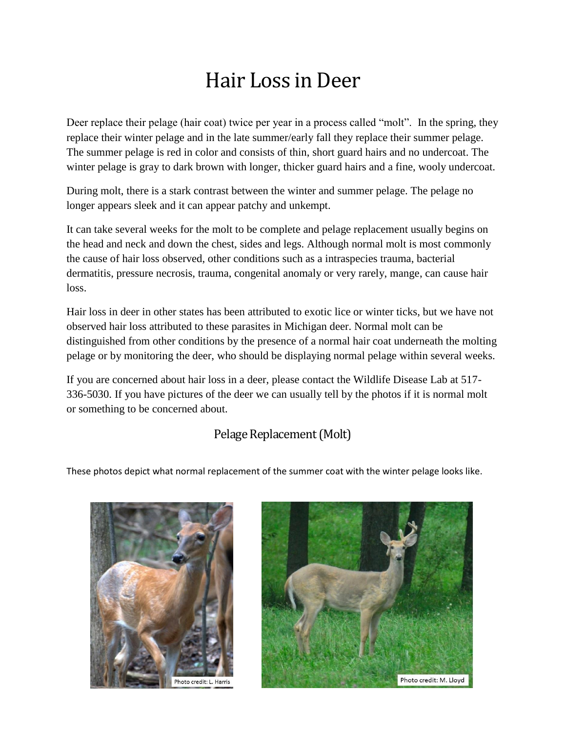# Hair Loss in Deer

Deer replace their pelage (hair coat) twice per year in a process called "molt". In the spring, they replace their winter pelage and in the late summer/early fall they replace their summer pelage. The summer pelage is red in color and consists of thin, short guard hairs and no undercoat. The winter pelage is gray to dark brown with longer, thicker guard hairs and a fine, wooly undercoat.

During molt, there is a stark contrast between the winter and summer pelage. The pelage no longer appears sleek and it can appear patchy and unkempt.

It can take several weeks for the molt to be complete and pelage replacement usually begins on the head and neck and down the chest, sides and legs. Although normal molt is most commonly the cause of hair loss observed, other conditions such as a intraspecies trauma, bacterial dermatitis, pressure necrosis, trauma, congenital anomaly or very rarely, mange, can cause hair loss.

Hair loss in deer in other states has been attributed to exotic lice or winter ticks, but we have not observed hair loss attributed to these parasites in Michigan deer. Normal molt can be distinguished from other conditions by the presence of a normal hair coat underneath the molting pelage or by monitoring the deer, who should be displaying normal pelage within several weeks.

If you are concerned about hair loss in a deer, please contact the Wildlife Disease Lab at 517- 336-5030. If you have pictures of the deer we can usually tell by the photos if it is normal molt or something to be concerned about.

#### Pelage Replacement (Molt)

These photos depict what normal replacement of the summer coat with the winter pelage looks like.



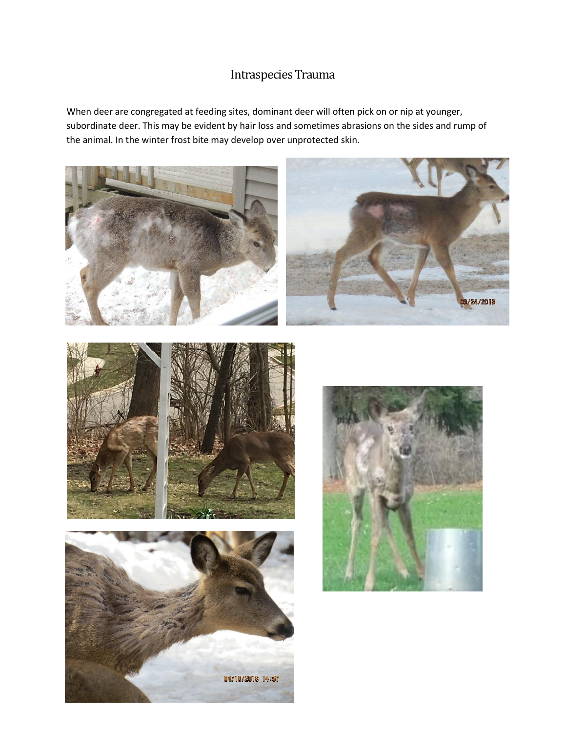### Intraspecies Trauma

When deer are congregated at feeding sites, dominant deer will often pick on or nip at younger, subordinate deer. This may be evident by hair loss and sometimes abrasions on the sides and rump of the animal. In the winter frost bite may develop over unprotected skin.